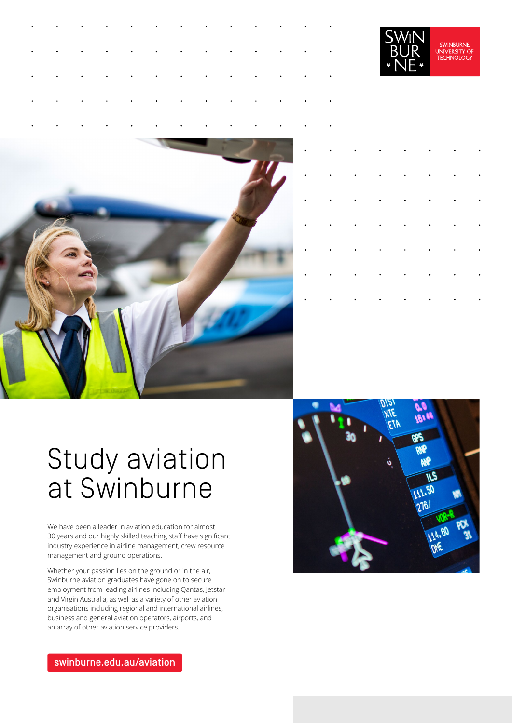|  |  |  |  |  | $\mathcal{A}$ is the set of the set of the set of the set of the set of the set of the set of the set of the set of the set of the set of the set of the set of the set of the set of the set of the set of the set of the set of         |  |
|--|--|--|--|--|-------------------------------------------------------------------------------------------------------------------------------------------------------------------------------------------------------------------------------------------|--|
|  |  |  |  |  | $\mathcal{A}^{\mathcal{A}}$ , where $\mathcal{A}^{\mathcal{A}}$ , and $\mathcal{A}^{\mathcal{A}}$ , and $\mathcal{A}^{\mathcal{A}}$ , and $\mathcal{A}^{\mathcal{A}}$ , and $\mathcal{A}^{\mathcal{A}}$ , and $\mathcal{A}^{\mathcal{A}}$ |  |
|  |  |  |  |  | $\mathcal{A}^{\mathcal{A}}$ . The contribution of the contribution of the contribution of the contribution of $\mathcal{A}^{\mathcal{A}}$                                                                                                 |  |
|  |  |  |  |  | is a constant of the contribution of the contribution of the contribution of $\mathcal{A}$                                                                                                                                                |  |
|  |  |  |  |  | $\mathcal{A}^{\mathcal{A}}$ . The contribution of the contribution of the contribution of the contribution of the contribution of the contribution of the contribution of the contribution of the contribution of the contribution of the |  |





|  | $\mathbf{r} = \mathbf{r} \cdot \mathbf{r}$ , where $\mathbf{r} = \mathbf{r} \cdot \mathbf{r}$ |  |                                                                                                                                                                                                                       |  |
|--|-----------------------------------------------------------------------------------------------|--|-----------------------------------------------------------------------------------------------------------------------------------------------------------------------------------------------------------------------|--|
|  |                                                                                               |  | $\mathcal{L}^{\mathcal{A}}_{\mathcal{A}}$ . The contribution of the contribution of the contribution of $\mathcal{A}$                                                                                                 |  |
|  |                                                                                               |  | $\mathcal{L}_{\mathcal{A}}$ , where $\mathcal{L}_{\mathcal{A}}$ is a subset of the set of the set of $\mathcal{A}$                                                                                                    |  |
|  |                                                                                               |  | $\mathcal{L}_{\mathcal{A}}$ , where $\mathcal{L}_{\mathcal{A}}$ is a subset of the set of the set of $\mathcal{A}$                                                                                                    |  |
|  |                                                                                               |  | $\mathbf{r}^{\prime}$ , $\mathbf{r}^{\prime}$ , $\mathbf{r}^{\prime}$ , $\mathbf{r}^{\prime}$ , $\mathbf{r}^{\prime}$ , $\mathbf{r}^{\prime}$ , $\mathbf{r}^{\prime}$ , $\mathbf{r}^{\prime}$ , $\mathbf{r}^{\prime}$ |  |
|  |                                                                                               |  | $\mathbf{r}^{\prime}$ , and $\mathbf{r}^{\prime}$ , and $\mathbf{r}^{\prime}$ , and $\mathbf{r}^{\prime}$ , and $\mathbf{r}^{\prime}$ , and                                                                           |  |
|  |                                                                                               |  | $\mathbf{r}^{\prime}$ , and $\mathbf{r}^{\prime}$ , and $\mathbf{r}^{\prime}$ , and $\mathbf{r}^{\prime}$ , and $\mathbf{r}^{\prime}$ , and                                                                           |  |
|  |                                                                                               |  | $\mathcal{L}_{\mathcal{A}}$ , where $\mathcal{L}_{\mathcal{A}}$ is a subset of the set of the set of $\mathcal{A}$                                                                                                    |  |

# Study aviation at Swinburne

We have been a leader in aviation education for almost 30 years and our highly skilled teaching staff have significant industry experience in airline management, crew resource management and ground operations.

Whether your passion lies on the ground or in the air, Swinburne aviation graduates have gone on to secure employment from leading airlines including Qantas, Jetstar and Virgin Australia, as well as a variety of other aviation organisations including regional and international airlines, business and general aviation operators, airports, and an array of other aviation service providers.

VIE. **JTK** i Bi EJI **GPS RNP** NФ

[swinburne.edu.au/aviation](https://www.swinburne.edu.au/courses/find-a-course/aviation/?utm_campaign=study-areas&utm_source=short-url&utm_medium=short-url)